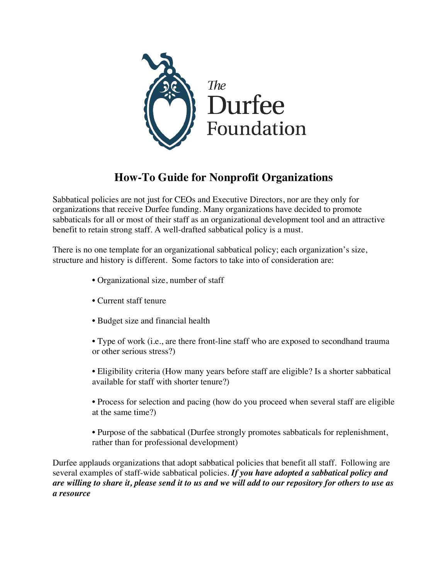

# **How-To Guide for Nonprofit Organizations**

Sabbatical policies are not just for CEOs and Executive Directors, nor are they only for organizations that receive Durfee funding. Many organizations have decided to promote sabbaticals for all or most of their staff as an organizational development tool and an attractive benefit to retain strong staff. A well-drafted sabbatical policy is a must.

There is no one template for an organizational sabbatical policy; each organization's size, structure and history is different. Some factors to take into of consideration are:

- Organizational size, number of staff
- Current staff tenure
- Budget size and financial health

• Type of work (i.e., are there front-line staff who are exposed to secondhand trauma or other serious stress?)

- Eligibility criteria (How many years before staff are eligible? Is a shorter sabbatical available for staff with shorter tenure?)
- Process for selection and pacing (how do you proceed when several staff are eligible at the same time?)
- Purpose of the sabbatical (Durfee strongly promotes sabbaticals for replenishment, rather than for professional development)

Durfee applauds organizations that adopt sabbatical policies that benefit all staff. Following are several examples of staff-wide sabbatical policies. *If you have adopted a sabbatical policy and are willing to share it, please send it to us and we will add to our repository for others to use as a resource*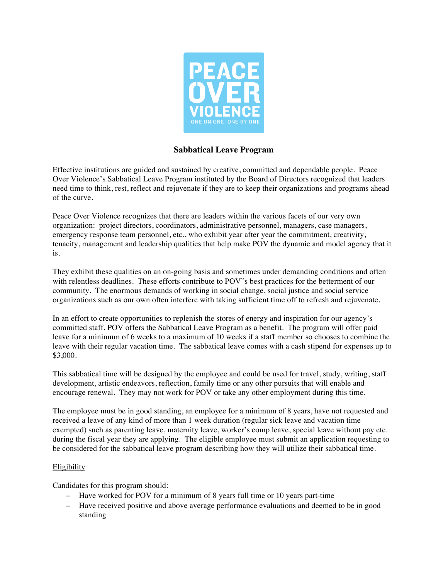

## **Sabbatical Leave Program**

Effective institutions are guided and sustained by creative, committed and dependable people. Peace Over Violence's Sabbatical Leave Program instituted by the Board of Directors recognized that leaders need time to think, rest, reflect and rejuvenate if they are to keep their organizations and programs ahead of the curve.

Peace Over Violence recognizes that there are leaders within the various facets of our very own organization: project directors, coordinators, administrative personnel, managers, case managers, emergency response team personnel, etc., who exhibit year after year the commitment, creativity, tenacity, management and leadership qualities that help make POV the dynamic and model agency that it is.

They exhibit these qualities on an on-going basis and sometimes under demanding conditions and often with relentless deadlines. These efforts contribute to POV"s best practices for the betterment of our community. The enormous demands of working in social change, social justice and social service organizations such as our own often interfere with taking sufficient time off to refresh and rejuvenate.

In an effort to create opportunities to replenish the stores of energy and inspiration for our agency's committed staff, POV offers the Sabbatical Leave Program as a benefit. The program will offer paid leave for a minimum of 6 weeks to a maximum of 10 weeks if a staff member so chooses to combine the leave with their regular vacation time. The sabbatical leave comes with a cash stipend for expenses up to \$3,000.

This sabbatical time will be designed by the employee and could be used for travel, study, writing, staff development, artistic endeavors, reflection, family time or any other pursuits that will enable and encourage renewal. They may not work for POV or take any other employment during this time.

The employee must be in good standing, an employee for a minimum of 8 years, have not requested and received a leave of any kind of more than 1 week duration (regular sick leave and vacation time exempted) such as parenting leave, maternity leave, worker's comp leave, special leave without pay etc. during the fiscal year they are applying. The eligible employee must submit an application requesting to be considered for the sabbatical leave program describing how they will utilize their sabbatical time.

## Eligibility

Candidates for this program should:

- − Have worked for POV for a minimum of 8 years full time or 10 years part-time
- − Have received positive and above average performance evaluations and deemed to be in good standing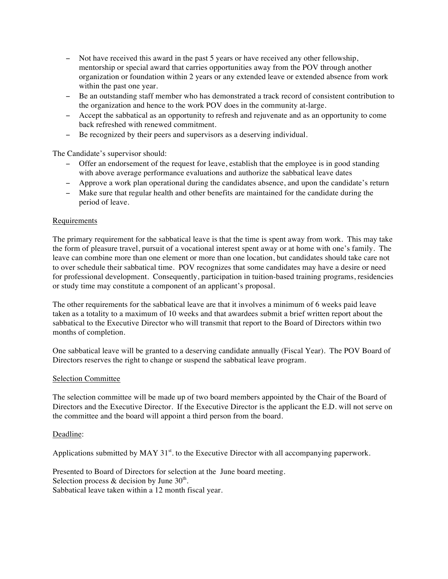- − Not have received this award in the past 5 years or have received any other fellowship, mentorship or special award that carries opportunities away from the POV through another organization or foundation within 2 years or any extended leave or extended absence from work within the past one year.
- − Be an outstanding staff member who has demonstrated a track record of consistent contribution to the organization and hence to the work POV does in the community at-large.
- − Accept the sabbatical as an opportunity to refresh and rejuvenate and as an opportunity to come back refreshed with renewed commitment.
- − Be recognized by their peers and supervisors as a deserving individual.

The Candidate's supervisor should:

- − Offer an endorsement of the request for leave, establish that the employee is in good standing with above average performance evaluations and authorize the sabbatical leave dates
- − Approve a work plan operational during the candidates absence, and upon the candidate's return
- − Make sure that regular health and other benefits are maintained for the candidate during the period of leave.

#### Requirements

The primary requirement for the sabbatical leave is that the time is spent away from work. This may take the form of pleasure travel, pursuit of a vocational interest spent away or at home with one's family. The leave can combine more than one element or more than one location, but candidates should take care not to over schedule their sabbatical time. POV recognizes that some candidates may have a desire or need for professional development. Consequently, participation in tuition-based training programs, residencies or study time may constitute a component of an applicant's proposal.

The other requirements for the sabbatical leave are that it involves a minimum of 6 weeks paid leave taken as a totality to a maximum of 10 weeks and that awardees submit a brief written report about the sabbatical to the Executive Director who will transmit that report to the Board of Directors within two months of completion.

One sabbatical leave will be granted to a deserving candidate annually (Fiscal Year). The POV Board of Directors reserves the right to change or suspend the sabbatical leave program.

#### Selection Committee

The selection committee will be made up of two board members appointed by the Chair of the Board of Directors and the Executive Director. If the Executive Director is the applicant the E.D. will not serve on the committee and the board will appoint a third person from the board.

#### Deadline:

Applications submitted by MAY  $31<sup>st</sup>$ . to the Executive Director with all accompanying paperwork.

Presented to Board of Directors for selection at the June board meeting. Selection process  $&$  decision by June 30<sup>th</sup>. Sabbatical leave taken within a 12 month fiscal year.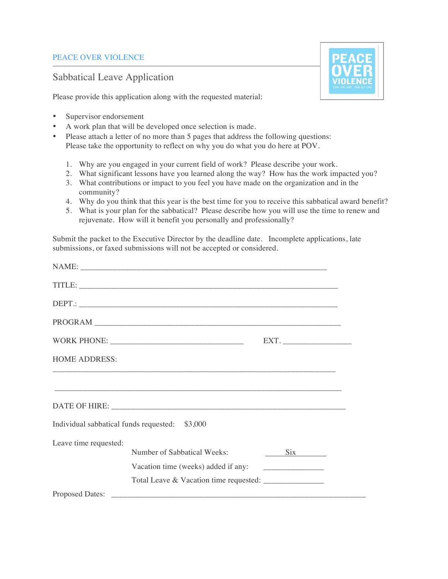## PEACE OVER VIOLENCE

# Sabbatical Leave Application

Please provide this application along with the requested material:



- A work plan that will be developed once selection is made.
- Please attach a letter of no more than 5 pages that address the following questions: Please take the opportunity to reflect on why you do what you do here at POV.
	- 1. Why are you engaged in your current field of work? Please describe your work.
	- 2. What significant lessons have you learned along the way? How has the work impacted you?
	- 3. What contributions or impact to you feel you have made on the organization and in the community?
	- 4. Why do you think that this year is the best time for you to receive this sabbatical award benefit?
	- 5. What is your plan for the sabbatical? Please describe how you will use the time to renew and rejuvenate. How will it benefit you personally and professionally?

Submit the packet to the Executive Director by the deadline date. Incomplete applications, late submissions, or faxed submissions will not be accepted or considered.

|                       |                                                        | EXT. |
|-----------------------|--------------------------------------------------------|------|
| <b>HOME ADDRESS:</b>  |                                                        |      |
|                       |                                                        |      |
|                       |                                                        |      |
|                       | Individual sabbatical funds requested: \$3,000         |      |
| Leave time requested: |                                                        |      |
|                       | Number of Sabbatical Weeks:                            | Six  |
|                       |                                                        |      |
|                       | Total Leave & Vacation time requested: _______________ |      |
|                       |                                                        |      |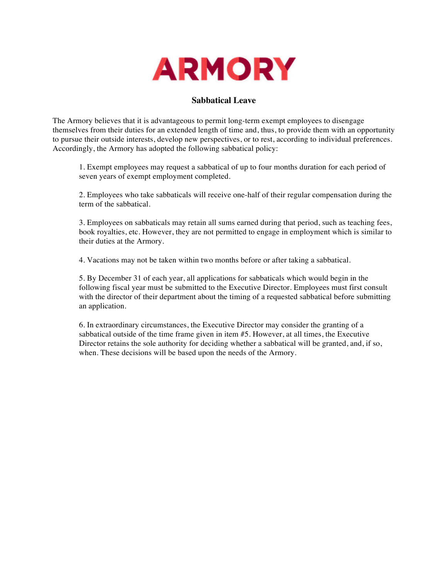

## **Sabbatical Leave**

The Armory believes that it is advantageous to permit long-term exempt employees to disengage themselves from their duties for an extended length of time and, thus, to provide them with an opportunity to pursue their outside interests, develop new perspectives, or to rest, according to individual preferences. Accordingly, the Armory has adopted the following sabbatical policy:

1. Exempt employees may request a sabbatical of up to four months duration for each period of seven years of exempt employment completed.

2. Employees who take sabbaticals will receive one-half of their regular compensation during the term of the sabbatical.

3. Employees on sabbaticals may retain all sums earned during that period, such as teaching fees, book royalties, etc. However, they are not permitted to engage in employment which is similar to their duties at the Armory.

4. Vacations may not be taken within two months before or after taking a sabbatical.

5. By December 31 of each year, all applications for sabbaticals which would begin in the following fiscal year must be submitted to the Executive Director. Employees must first consult with the director of their department about the timing of a requested sabbatical before submitting an application.

6. In extraordinary circumstances, the Executive Director may consider the granting of a sabbatical outside of the time frame given in item #5. However, at all times, the Executive Director retains the sole authority for deciding whether a sabbatical will be granted, and, if so, when. These decisions will be based upon the needs of the Armory.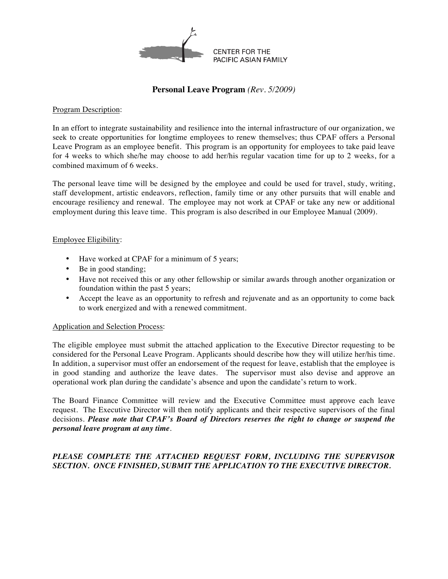

## **Personal Leave Program** *(Rev. 5/2009)*

#### Program Description:

In an effort to integrate sustainability and resilience into the internal infrastructure of our organization, we seek to create opportunities for longtime employees to renew themselves; thus CPAF offers a Personal Leave Program as an employee benefit. This program is an opportunity for employees to take paid leave for 4 weeks to which she/he may choose to add her/his regular vacation time for up to 2 weeks, for a combined maximum of 6 weeks.

The personal leave time will be designed by the employee and could be used for travel, study, writing, staff development, artistic endeavors, reflection, family time or any other pursuits that will enable and encourage resiliency and renewal. The employee may not work at CPAF or take any new or additional employment during this leave time. This program is also described in our Employee Manual (2009).

#### Employee Eligibility:

- Have worked at CPAF for a minimum of 5 years;
- Be in good standing;
- Have not received this or any other fellowship or similar awards through another organization or foundation within the past 5 years;
- Accept the leave as an opportunity to refresh and rejuvenate and as an opportunity to come back to work energized and with a renewed commitment.

#### Application and Selection Process:

The eligible employee must submit the attached application to the Executive Director requesting to be considered for the Personal Leave Program. Applicants should describe how they will utilize her/his time. In addition, a supervisor must offer an endorsement of the request for leave, establish that the employee is in good standing and authorize the leave dates. The supervisor must also devise and approve an operational work plan during the candidate's absence and upon the candidate's return to work.

The Board Finance Committee will review and the Executive Committee must approve each leave request. The Executive Director will then notify applicants and their respective supervisors of the final decisions. *Please note that CPAF's Board of Directors reserves the right to change or suspend the personal leave program at any time*.

## PLEASE COMPLETE THE ATTACHED REQUEST FORM, INCLUDING THE SUPERVISOR *SECTION. ONCE FINISHED, SUBMIT THE APPLICATION TO THE EXECUTIVE DIRECTOR.*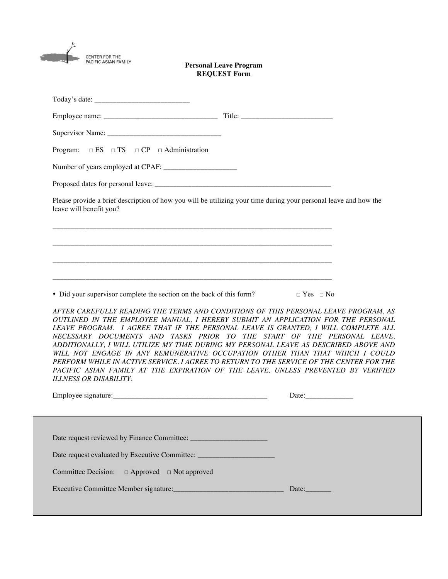| <b>CENTER FOR THE</b><br>PACIFIC ASIAN FAMILY           | <b>Personal Leave Program</b><br><b>REQUEST Form</b>                                                             |                                                                                                                                                                                                                                                                                                                                                                                                                                                                                                                                                                                                                                                                                                                         |
|---------------------------------------------------------|------------------------------------------------------------------------------------------------------------------|-------------------------------------------------------------------------------------------------------------------------------------------------------------------------------------------------------------------------------------------------------------------------------------------------------------------------------------------------------------------------------------------------------------------------------------------------------------------------------------------------------------------------------------------------------------------------------------------------------------------------------------------------------------------------------------------------------------------------|
|                                                         |                                                                                                                  |                                                                                                                                                                                                                                                                                                                                                                                                                                                                                                                                                                                                                                                                                                                         |
|                                                         |                                                                                                                  |                                                                                                                                                                                                                                                                                                                                                                                                                                                                                                                                                                                                                                                                                                                         |
|                                                         |                                                                                                                  |                                                                                                                                                                                                                                                                                                                                                                                                                                                                                                                                                                                                                                                                                                                         |
| Program: $\Box ES \Box TS \Box CP \Box$ Administration  |                                                                                                                  |                                                                                                                                                                                                                                                                                                                                                                                                                                                                                                                                                                                                                                                                                                                         |
|                                                         |                                                                                                                  |                                                                                                                                                                                                                                                                                                                                                                                                                                                                                                                                                                                                                                                                                                                         |
|                                                         |                                                                                                                  |                                                                                                                                                                                                                                                                                                                                                                                                                                                                                                                                                                                                                                                                                                                         |
| leave will benefit you?                                 | Please provide a brief description of how you will be utilizing your time during your personal leave and how the |                                                                                                                                                                                                                                                                                                                                                                                                                                                                                                                                                                                                                                                                                                                         |
| <b>ILLNESS OR DISABILITY.</b>                           | • Did your supervisor complete the section on the back of this form?                                             | $\Box$ Yes $\Box$ No<br>AFTER CAREFULLY READING THE TERMS AND CONDITIONS OF THIS PERSONAL LEAVE PROGRAM, AS<br>OUTLINED IN THE EMPLOYEE MANUAL, I HEREBY SUBMIT AN APPLICATION FOR THE PERSONAL<br>LEAVE PROGRAM. I AGREE THAT IF THE PERSONAL LEAVE IS GRANTED, I WILL COMPLETE ALL<br>NECESSARY DOCUMENTS AND TASKS PRIOR TO THE START OF THE PERSONAL LEAVE.<br>ADDITIONALLY, I WILL UTILIZE MY TIME DURING MY PERSONAL LEAVE AS DESCRIBED ABOVE AND<br>WILL NOT ENGAGE IN ANY REMUNERATIVE OCCUPATION OTHER THAN THAT WHICH I COULD<br>PERFORM WHILE IN ACTIVE SERVICE. I AGREE TO RETURN TO THE SERVICE OF THE CENTER FOR THE<br>PACIFIC ASIAN FAMILY AT THE EXPIRATION OF THE LEAVE, UNLESS PREVENTED BY VERIFIED |
|                                                         |                                                                                                                  |                                                                                                                                                                                                                                                                                                                                                                                                                                                                                                                                                                                                                                                                                                                         |
| Committee Decision: $\Box$ Approved $\Box$ Not approved |                                                                                                                  |                                                                                                                                                                                                                                                                                                                                                                                                                                                                                                                                                                                                                                                                                                                         |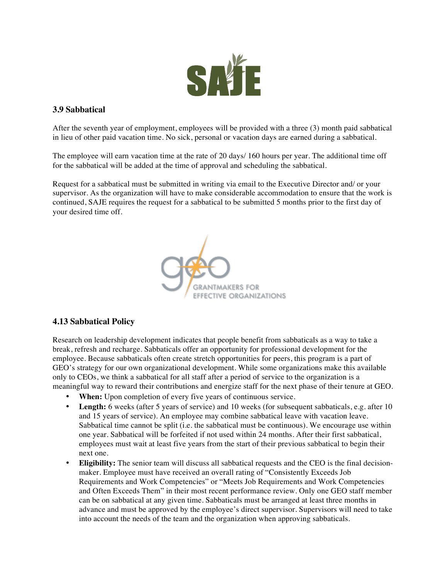

# **3.9 Sabbatical**

After the seventh year of employment, employees will be provided with a three (3) month paid sabbatical in lieu of other paid vacation time. No sick, personal or vacation days are earned during a sabbatical.

The employee will earn vacation time at the rate of 20 days/ 160 hours per year. The additional time off for the sabbatical will be added at the time of approval and scheduling the sabbatical.

Request for a sabbatical must be submitted in writing via email to the Executive Director and/ or your supervisor. As the organization will have to make considerable accommodation to ensure that the work is continued, SAJE requires the request for a sabbatical to be submitted 5 months prior to the first day of your desired time off.



# **4.13 Sabbatical Policy**

Research on leadership development indicates that people benefit from sabbaticals as a way to take a break, refresh and recharge. Sabbaticals offer an opportunity for professional development for the employee. Because sabbaticals often create stretch opportunities for peers, this program is a part of GEO's strategy for our own organizational development. While some organizations make this available only to CEOs, we think a sabbatical for all staff after a period of service to the organization is a meaningful way to reward their contributions and energize staff for the next phase of their tenure at GEO.

- **When:** Upon completion of every five years of continuous service.
- **Length:** 6 weeks (after 5 years of service) and 10 weeks (for subsequent sabbaticals, e.g. after 10 and 15 years of service). An employee may combine sabbatical leave with vacation leave. Sabbatical time cannot be split (i.e. the sabbatical must be continuous). We encourage use within one year. Sabbatical will be forfeited if not used within 24 months. After their first sabbatical, employees must wait at least five years from the start of their previous sabbatical to begin their next one.
- **Eligibility:** The senior team will discuss all sabbatical requests and the CEO is the final decisionmaker. Employee must have received an overall rating of "Consistently Exceeds Job Requirements and Work Competencies" or "Meets Job Requirements and Work Competencies and Often Exceeds Them" in their most recent performance review. Only one GEO staff member can be on sabbatical at any given time. Sabbaticals must be arranged at least three months in advance and must be approved by the employee's direct supervisor. Supervisors will need to take into account the needs of the team and the organization when approving sabbaticals.